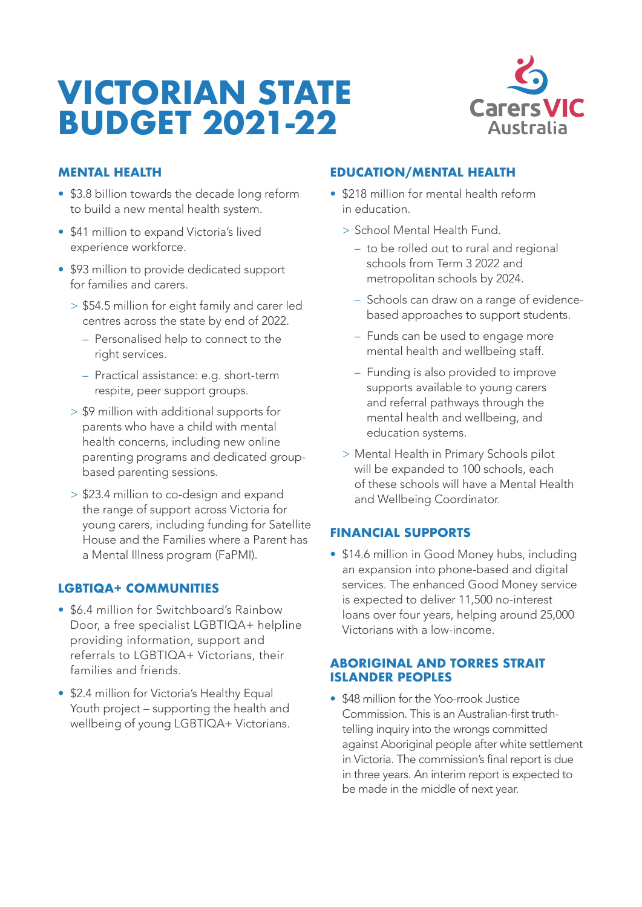# **VICTORIAN STATE BUDGET 2021-22**



# **MENTAL HEALTH**

- \$3.8 billion towards the decade long reform to build a new mental health system.
- \$41 million to expand Victoria's lived experience workforce.
- \$93 million to provide dedicated support for families and carers.
	- > \$54.5 million for eight family and carer led centres across the state by end of 2022.
		- Personalised help to connect to the right services.
		- Practical assistance: e.g. short-term respite, peer support groups.
	- > \$9 million with additional supports for parents who have a child with mental health concerns, including new online parenting programs and dedicated groupbased parenting sessions.
	- > \$23.4 million to co-design and expand the range of support across Victoria for young carers, including funding for Satellite House and the Families where a Parent has a Mental Illness program (FaPMI).

# **LGBTIQA+ COMMUNITIES**

- \$6.4 million for Switchboard's Rainbow Door, a free specialist LGBTIQA+ helpline providing information, support and referrals to LGBTIQA+ Victorians, their families and friends.
- \$2.4 million for Victoria's Healthy Equal Youth project – supporting the health and wellbeing of young LGBTIQA+ Victorians.

### **EDUCATION/MENTAL HEALTH**

- \$218 million for mental health reform in education.
	- > School Mental Health Fund.
		- to be rolled out to rural and regional schools from Term 3 2022 and metropolitan schools by 2024.
		- Schools can draw on a range of evidencebased approaches to support students.
		- Funds can be used to engage more mental health and wellbeing staff.
		- Funding is also provided to improve supports available to young carers and referral pathways through the mental health and wellbeing, and education systems.
	- > Mental Health in Primary Schools pilot will be expanded to 100 schools, each of these schools will have a Mental Health and Wellbeing Coordinator.

#### **FINANCIAL SUPPORTS**

• \$14.6 million in Good Money hubs, including an expansion into phone-based and digital services. The enhanced Good Money service is expected to deliver 11,500 no-interest loans over four years, helping around 25,000 Victorians with a low-income.

#### **ABORIGINAL AND TORRES STRAIT ISLANDER PEOPLES**

• \$48 million for the Yoo-rrook Justice Commission. This is an Australian-first truthtelling inquiry into the wrongs committed against Aboriginal people after white settlement in Victoria. The commission's final report is due in three years. An interim report is expected to be made in the middle of next year.